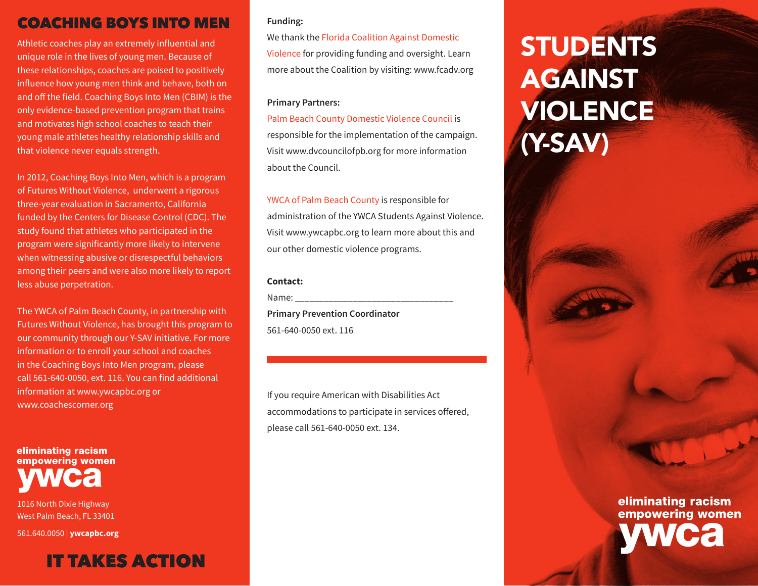# COACHING BOYS INTO MEN

Athletic coaches play an extremely influential and unique role in the lives of young men. Because of these relationships, coaches are poised to positively influence how young men think and behave, both on and off the field. Coaching Boys Into Men (CBIM) is the only evidence-based prevention program that trains and motivates high school coaches to teach their young male athletes healthy relationship skills and that violence never equals strength.

In 2012, Coaching Boys Into Men, which is a program of Futures Without Violence, underwent a rigorous three-year evaluation in Sacramento, California funded by the Centers for Disease Control (CDC). The study found that athletes who participated in the program were significantly more likely to intervene when witnessing abusive or disrespectful behaviors among their peers and were also more likely to report less abuse perpetration.

The YWCA of Palm Beach County, in partnership with Futures Without Violence, has brought this program to our community through our Y-SAV initiative. For more information or to enroll your school and coaches in the Coaching Boys Into Men program, please call 561-640-0050, ext. 116. You can find additional information at www.ywcapbc.org or www.coachescorner.org

eliminating racism empowering women

1016 North Dixie Highway West Palm Beach, FL 33401

561.640.0050 | **ywcapbc.org**

# IT TAKES ACTION

#### **Funding:**

We thank the Florida Coalition Against Domestic Violence for providing funding and oversight. Learn more about the Coalition by visiting: www.fcadv.org

#### **Primary Partners:**

Palm Beach County Domestic Violence Council is responsible for the implementation of the campaign. Visit www.dvcouncilofpb.org for more information about the Council.

YWCA of Palm Beach County is responsible for administration of the YWCA Students Against Violence. Visit www.ywcapbc.org to learn more about this and our other domestic violence programs.

#### **Contact:**

Name:

**Primary Prevention Coordinator** 561-640-0050 ext. 116

If you require American with Disabilities Act accommodations to participate in services offered, please call 561-640-0050 ext. 134.

# **STUDENTS AGAINST** VIOLENCE (Y-SAV)

eliminating racism empowering women